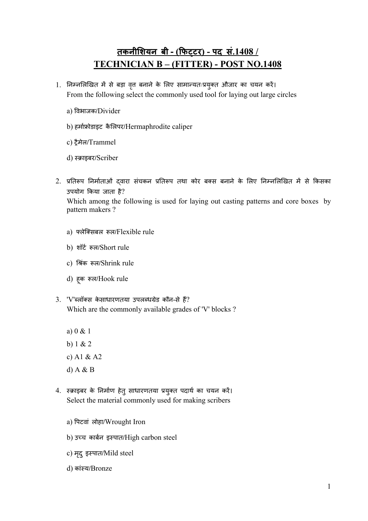## तकनीशियन बी - (फिटटर) - पद सं.1408 / TECHNICIAN B – (FITTER) - POST NO.1408

- 1. निम्नलिखित में से बड़ा वृत बनाने के लिए सामान्यतःप्रयुक्त औजार का चयन करें। From the following select the commonly used tool for laying out large circles
	- a) वभाजक/Divider
	- b) हमाोडाइट कै लपर/Hermaphrodite caliper
	- c) ैमेल/Trammel
	- d) स्क्राइबर/Scriber
- 2. प्रतिरूप निर्माताओं दवारा संचकन प्रतिरूप तथा कोर बक्स बनाने के लिए निम्नलिखित में से किसका उपयोग कया जाता है? Which among the following is used for laying out casting patterns and core boxes by pattern makers ?
	- a) लेिसबल ल/Flexible rule
	- b) शॉट ल/Short rule
	- c) श्रिंक रूल/Shrink rule
	- d) हू क ल/Hook rule
- 3. 'V'ब्लॉक्स केसाधारणतया उपलब्धग्रेड कौन-से हैं? Which are the commonly available grades of 'V' blocks ?
	- a) 0 & 1
	- b) 1 & 2
	- c) A1 & A2
	- d) A & B
- 4. स्क्राइबर के निर्माण हेतु साधारणतया प्रयुक्त पदार्थ का चयन करें। Select the material commonly used for making scribers
	- a) पटवां लोहा/Wrought Iron
	- b) उच्च कार्बन इस्पात/High carbon steel
	- c) मृद् इस्पात/Mild steel
	- d) कांय/Bronze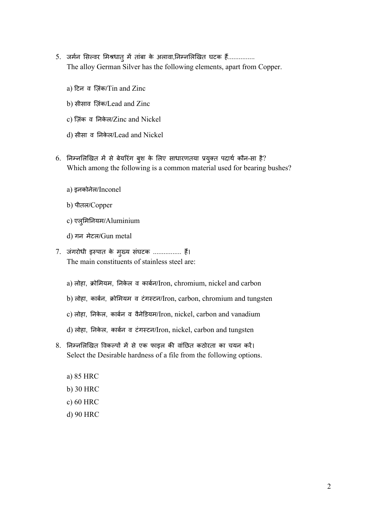- 5. जर्मन सिल्वर मिश्रधातु में तांबा के अलावा,निम्नलिखित घटक हैं................ The alloy German Silver has the following elements, apart from Copper.
	- a) टन व िज़ंक/Tin and Zinc
	- b) सीसाव िज़ंक/Lead and Zinc
	- c) िज़ंक व नके ल/Zinc and Nickel
	- d) सीसा व नके ल/Lead and Nickel
- 6. निम्नलिखित में से बेयरिंग बुश के लिए साधारणतया प्रयुक्त पदार्थ कौन-सा है? Which among the following is a common material used for bearing bushes?
	- a) इनकोनेल/Inconel
	- b) पीतल/Copper
	- c) एलुमनयम/Aluminium
	- d) गन मेटल/Gun metal
- 7. जंगरोधी इपात के मु य संघटक ................ ह। The main constituents of stainless steel are:
	- a) लोहा, क्रोमियम, निकेल व कार्बन/Iron, chromium, nickel and carbon
	- b) लोहा, काबन, ोमयम व टंगटन/Iron, carbon, chromium and tungsten
	- c) लोहा, नके ल, काबन व वैनेडयम/Iron, nickel, carbon and vanadium
	- d) लोहा, निकेल, कार्बन व टंगस्टन/Iron, nickel, carbon and tungsten
- 8. निम्नलिखित विकल्पों में से एक फाइल की वांछित कठोरता का चयन करें। Select the Desirable hardness of a file from the following options.
	- a) 85 HRC
	- b) 30 HRC
	- c) 60 HRC
	- d) 90 HRC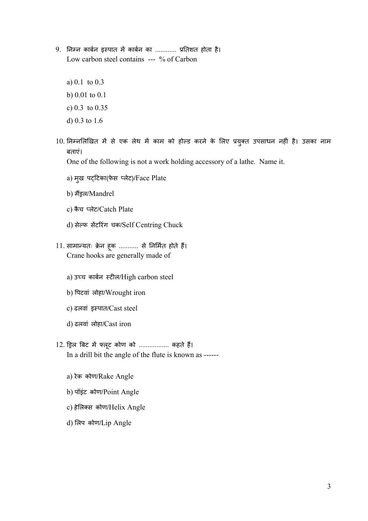- 9. निम्न कार्बन इस्पात में कार्बन का ............ प्रतिशत होता है। Low carbon steel contains --- % of Carbon
	- a) 0.1 to 0.3
	- b) 0.01 to 0.1
	- c) 0.3 to 0.35
	- d) 0.3 to 1.6
- 10. निम्नलिखित में से एक लेथ में काम को होल्ड करने के लिए प्रयुक्त उपसाधन नहीं है। उसका नाम बताएं।

One of the following is not a work holding accessory of a lathe. Name it.

- a) मुख पट्टिका(फेस प्लेट)/Face Plate
- b) मैंड्रल/Mandrel
- c) कैच प्लेट/Catch Plate
- d) सेल्फ सेंटरिंग चक/Self Centring Chuck
- 11. सामान्यतः क्रेन हूक ........... से निर्मित होते हैं। Crane hooks are generally made of
	- a) उच्च कार्बन स्टील/High carbon steel
	- b) पटवां लोहा/Wrought iron
	- c) ढलवां इपात/Cast steel
	- d) ढलवां लोहा/Cast iron
- 12. ड्रिल बिट में फ्लूट कोण को .................. कहते हैं। In a drill bit the angle of the flute is known as -----
	- a) रेक कोण/Rake Angle
	- b) पॉइंट कोण/Point Angle
	- c) हेलिक्स कोण/Helix Angle
	- d) लप कोण/Lip Angle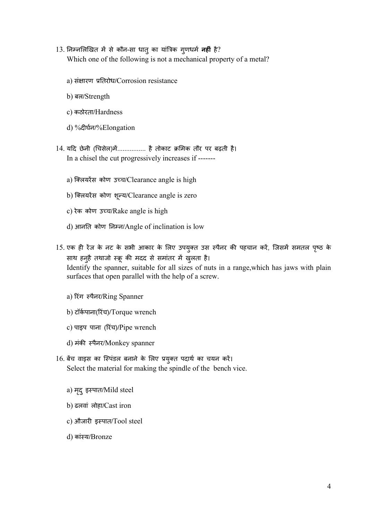- 13. निम्नलिखित में से कौन-सा धातु का यांत्रिक गुणधर्म **नहीं** है? Which one of the following is not a mechanical property of a metal?
	- a) संक्षारण प्रतिरोध/Corrosion resistance
	- b) बल/Strength
	- c) कठोरता/Hardness
	- d) %दघन/%Elongation
- 14. यदि छेनी (चिसेल)में................ है तोकाट क्रमिक तौर पर बढ़ती है। In a chisel the cut progressively increases if ------
	- a) क्लियरेंस कोण उच्च/Clearance angle is high
	- b) क्लियरेंस कोण शून्य/Clearance angle is zero
	- c) रेक कोण उच/Rake angle is high
	- d) आनति कोण निम्न/Angle of inclination is low
- 15. एक ही रेंज के नट के सभी आकार के लिए उपयुक्त उस स्पैनर की पहचान करें, जिसमें समतल पृष्ठ के साथ हनुहै तथाजो स्क्रू की मदद से समातर में खुलता है। Identify the spanner, suitable for all sizes of nuts in a range,which has jaws with plain surfaces that open parallel with the help of a screw.
	- a) रंग पैनर/Ring Spanner
	- b) टॉर्कपाना(रिंच)/Torque wrench
	- c) पाइप पाना (रंच)/Pipe wrench
	- d) मंकी स्पैनर/Monkey spanner
- 16. बेंच वाइस का स्पिंडल बनाने के लिए प्रयुक्त पदार्थ का चयन करें। Select the material for making the spindle of the bench vice.
	- a) मृदु इस्पात/Mild steel
	- b) ढलवां लोहा/Cast iron
	- $c$ ) औजारी इस्पात/Tool steel
	- d) कांय/Bronze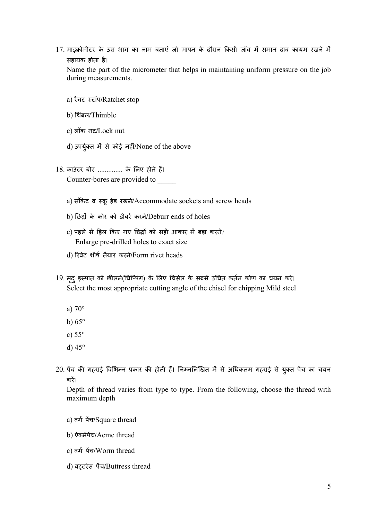17. माइक्रोमीटर के उस भाग का नाम बताएं जो मापन के दौरान किसी जॉब में समान दाब कायम रखने में सहायक होता है।

Name the part of the micrometer that helps in maintaining uniform pressure on the job during measurements.

- a) रैचट टॉप/Ratchet stop
- b) थबलं /Thimble
- c) लॉक नट/Lock nut
- d) उपर्युक्त में से कोई नहीं/None of the above
- 18. काउंटर बोर .............. के लिए होते हैं। Counter-bores are provided to
	- a) सॉकेट व स्क्रू हेड रखने/Accommodate sockets and screw heads
	- b) छ के कोर को डीबर करने/Deburr ends of holes
	- $c$ ) पहले से ड़िल किए गए छिद्रों को सही आकार में बड़ा करने/ Enlarge pre-drilled holes to exact size
	- d) रवेट शीष तैयार करने/Form rivet heads
- 19. मदृ ुइपात को छलने(चिपंग) के लए चसेल के सबसे उचत कतन कोण का चयन कर। Select the most appropriate cutting angle of the chisel for chipping Mild steel
	- a) 70°
	- b)  $65^\circ$
	- c) 55°
	- d) 45°
- 20. पेंच की गहराई विभिन्न प्रकार की होती हैं। निम्नलिखित में से अधिकतम गहराई से युक्त पेंच का चयन कर।

Depth of thread varies from type to type. From the following, choose the thread with maximum depth

- a) वर्ग पैच/Square thread
- b) ऐमेपच/Acme thread
- c) वम पच/Worm thread
- d) बटरेस पच/Buttress thread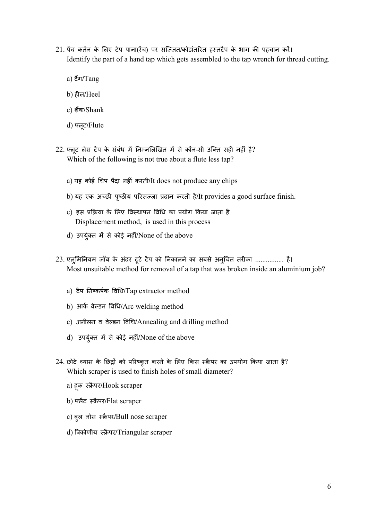- 21. पेंच कर्तन के लिए टेप पाना(रैच) पर सज्जित/कोडांतरित हस्तटैप के भाग की पहचान करें। Identify the part of a hand tap which gets assembled to the tap wrench for thread cutting.
	- a) टैंग/Tang
	- b) हल/Heel
	- c) शक/Shank
	- d) लू ट/Flute
- 22. फ्लूट लेस टैप के संबंध में निम्नलिखित में से कौन-सी उक्ति सही नहीं है? Which of the following is not true about a flute less tap?
	- a) यह कोई चप पैदा नहं करती/It does not produce any chips
	- b) यह एक अच्छी पृष्ठीय परिसज्जा प्रदान करती है/It provides a good surface finish.
	- c) इस प्रक्रिया के लिए विस्थापन विधि का प्रयोग किया जाता है Displacement method, is used in this process
	- d) उपर्युक्त में से कोई नहीं/None of the above
- 23. एलुमिनियम जॉब के अंदर टूटे टैप को निकालने का सबसे अनुचित तरीका ................. है। Most unsuitable method for removal of a tap that was broken inside an aluminium job?
	- a) टैप नकषक वध/Tap extractor method
	- b) आक वेडन वध/Arc welding method
	- c) अनीलन व वेडन वध/Annealing and drilling method
	- d) उपर्युक्त में से कोई नहीं/None of the above
- 24. छोटे व्यास के छिद्रों को परिष्कृत करने के लिए किस स्क्रैपर का उपयोग किया जाता है? Which scraper is used to finish holes of small diameter?
	- a) हूक स्क्रैपर/Hook scraper
	- b) फ्लैट स्क्रैपर/Flat scraper
	- c) बुल नोस स्क्रैपर/Bull nose scraper
	- d) त्रिकोणीय स्क्रैपर/Triangular scraper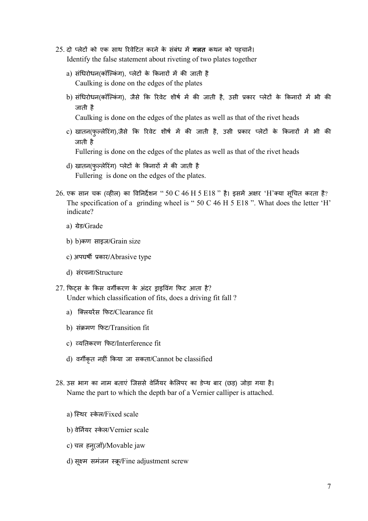- 25. दो प्लेटों को एक साथ रिवेटित करने के संबंध में **गलत** कथन को पहचानें। Identify the false statement about riveting of two plates together
	- a) संधिरोधन(कॉल्किंग), प्लेटों के किनारों में की जाती है Caulking is done on the edges of the plates
	- b) संधिरोधन(कॉल्किंग), जैसे कि रिवेट शीर्ष में की जाती है, उसी प्रकार प्लेटों के किनारों में भी की जाती है

Caulking is done on the edges of the plates as well as that of the rivet heads

- c) खातन(फुल्लेरिंग),जैसे कि रिवेट शीर्ष में की जाती है, उसी प्रकार प्लेटों के किनारों में भी की जाती है Fullering is done on the edges of the plates as well as that of the rivet heads
- d) खातन(फुल्लेरिंग) प्लेटों के किनारों में की जाती है
	- Fullering is done on the edges of the plates.
- $26$ . एक सान चक (व्हील) का विनिर्देशन "  $50 \text{ C}$   $46 \text{ H}$   $5 \text{ E}18$  " है। इसमें अक्षर 'H'क्या सूचित करता है? The specification of a grinding wheel is " 50 C 46 H 5 E18 ". What does the letter 'H' indicate?
	- a) ग्रेड/Grade
	- b) b)कण साइज/Grain size
	- c) अपघर्षी प्रकार/Abrasive type
	- d) संरचना/Structure
- $27.$  फिटस के किस वर्गीकरण के अंदर डाइविंग फिट आता है? Under which classification of fits, does a driving fit fall ?
	- a) क्लियरेंस फिट/Clearance fit
	- b) संमण फट/Transition fit
	- c) यतकरण फट/Interference fit
	- d) वगकृत नहं कया जा सकता/Cannot be classified
- 28. उस भाग का नाम बताएं िजससे वेनयर के लपर का डेथ बार (छड़) जोड़ा गया है। Name the part to which the depth bar of a Vernier calliper is attached.
	- a) स्थिर स्केल/Fixed scale
	- b) वेनयर के ल/Vernier scale
	- c) चल हनु(जॉ)/Movable jaw
	- d) सूक्ष्म समंजन स्क्रू/Fine adjustment screw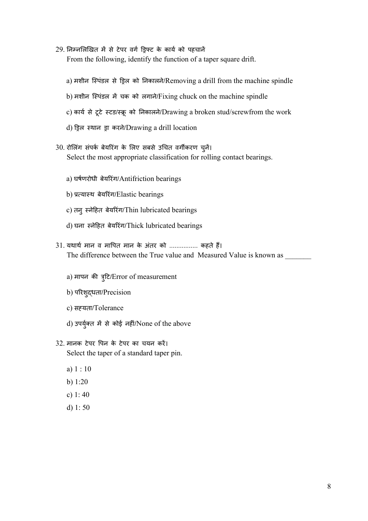29. निम्नलिखित में से टेपर वर्ग ड्रिफ्ट के कार्य को पहचानें

From the following, identify the function of a taper square drift.

- a) मशीन स्पिंडल से ड़िल को निकालने/Removing a drill from the machine spindle
- b) मशीन स्पिंडल में चक को लगाने/Fixing chuck on the machine spindle
- c) कार्य से टूटे स्टड/स्क्रू को निकालने/Drawing a broken stud/screwfrom the work
- d) ड़िल स्थान ड्रा करने/Drawing a drill location
- 30. रोलिंग संपर्क बेयरिंग के लिए सबसे उचित वर्गीकरण चुनें। Select the most appropriate classification for rolling contact bearings.
	- a) घषणरोधी बेयरंग/Antifriction bearings
	- b) प्रत्यास्थ बेयरिंग/Elastic bearings
	- c) तनु नेहत बेयरंग/Thin lubricated bearings
	- d) घना नेहत बेयरंग/Thick lubricated bearings
- 31. यथार्थ मान व मापित मान के अंतर को ................ कहते हैं। The difference between the True value and Measured Value is known as
	- a) मापन की त्र्टि/Error of measurement
	- b) परशु धता/Precision
	- c) सयता/Tolerance
	- d) उपर्युक्त में से कोई नहीं/None of the above
- 32. मानक टेपर पन के टेपर का चयन कर। Select the taper of a standard taper pin.
	- a) 1 : 10
	- b) 1:20
	- c) 1: 40
	- d) 1: 50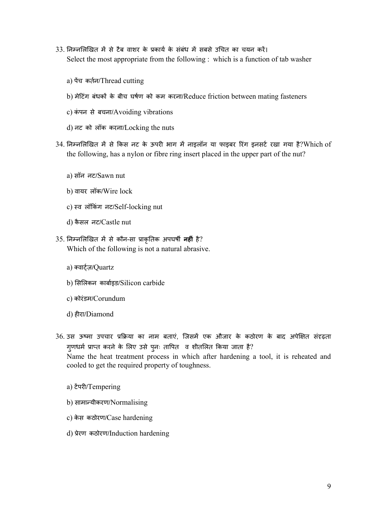- 33. निम्नलिखित में से टैब वाशर के प्रकार्य के संबंध में सबसे उचित का चयन करें। Select the most appropriate from the following : which is a function of tab washer
	- a) पच कतन/Thread cutting
	- b) मेटिंग बंधकों के बीच घर्षण को कम करना/Reduce friction between mating fasteners
	- c) कंपन से बचना/Avoiding vibrations
	- d) नट को लॉक करना/Locking the nuts
- 34. निम्नलिखित में से किस नट के ऊपरी भाग में नाइलॉन या फाइबर रिंग इनसर्ट रखा गया है?Which of the following, has a nylon or fibre ring insert placed in the upper part of the nut?
	- a) सॉन नट/Sawn nut
	- b) वायर लॉक/Wire lock
	- c) व लॉकंग नट/Self-locking nut
	- d) कै सल नट/Castle nut
- 35. निम्नलिखित में से कौन-सा प्राकृतिक अपघर्षी **नहीं** है? Which of the following is not a natural abrasive.
	- a) वाज़/Quartz
	- b) सलकन काबाइड/Silicon carbide
	- c) कोरंडम/Corundum
	- d) हरा/Diamond
- 36. उस ऊष्मा उपचार प्रक्रिया का नाम बताएं. जिसमें एक औजार के कठोरण के बाद अपेक्षित संदृढता गुणधर्म प्राप्त करने के लिए उसे पुनः तापित व शीतलित किया जाता है? Name the heat treatment process in which after hardening a tool, it is reheated and cooled to get the required property of toughness.
	- a) टेपरी/Tempering
	- b) सामान्यीकरण/Normalising
	- c) केस कठोरण/Case hardening
	- d) प्रेरण कठोरण/Induction hardening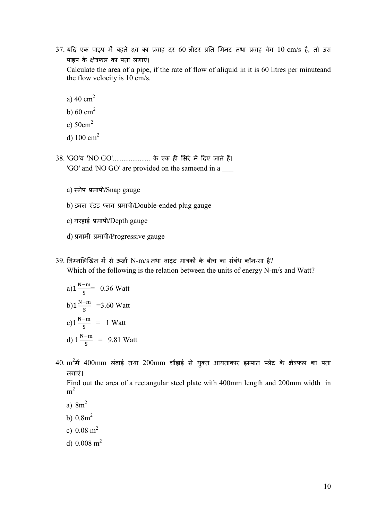- $37$ . यदि एक पाइप में बहते द्रव का प्रवाह दर 60 लीटर प्रति मिनट तथा प्रवाह वेग 10 cm/s है, तो उस पाइप के क्षेत्रफल का पता लगाएं। Calculate the area of a pipe, if the rate of flow of aliquid in it is 60 litres per minuteand the flow velocity is 10 cm/s.
	- a)  $40 \text{ cm}^2$
	- b)  $60 \text{ cm}^2$
	- c)  $50 \text{cm}^2$
	- d)  $100 \text{ cm}^2$
- 38. 'GO'व 'NO GO'...................... के एक ही सिरे में दिए जाते हैं। 'GO' and 'NO GO' are provided on the sameend in a \_\_\_
	- a) नेप मापी/Snap gauge
	- b) डबल एंडड लग मापी/Double-ended plug gauge
	- c) गरहाई प्रमापी/Depth gauge
	- d) गामी मापी/Progressive gauge
- $39.$  निम्नलिखित में से ऊर्जा N-m/s तथा वाटट मात्रकों के बीच का संबंध कौन-सा है? Which of the following is the relation between the units of energy N-m/s and Watt?

a)1
$$
\frac{N-m}{s}
$$
 = 0.36 Watt  
b)1 $\frac{N-m}{s}$  =3.60 Watt  
c)1 $\frac{N-m}{s}$  = 1 Watt  
d)1 $\frac{N-m}{s}$  = 9.81 Watt

 $40$ .  $\text{m}^2$ में  $400\text{mm}$  लंबाई तथा  $200\text{mm}$  चौड़ाई से युक्त आयताकार इस्पात प्लेट के क्षेत्रफल का पता लगाएं।

Find out the area of a rectangular steel plate with 400mm length and 200mm width in  $m<sup>2</sup>$ 

- a) 8m<sup>2</sup>
- b)  $0.8m^2$
- c)  $0.08 \text{ m}^2$
- d)  $0.008$  m<sup>2</sup>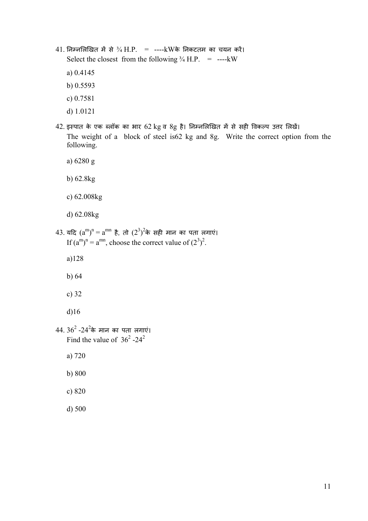- $41.$  निम्नलिखित में से  $\frac{3}{4}$  H.P. = ----kWके निकटतम का चयन करें। Select the closest from the following  $\frac{3}{4}$  H.P. = ----kW
	- a) 0.4145
	- b) 0.5593
	- c) 0.7581
	- d) 1.0121
- $42.$  इस्पात के एक ब्लॉक का भार  $62$  kg व  $8$ g है। निम्नलिखित में से सही विकल्प उत्तर लिखें। The weight of a block of steel is62 kg and 8g. Write the correct option from the following.
	- a) 6280 g
	- b) 62.8kg
	- c) 62.008kg
	- d) 62.08kg
- $43$ . यदि  $(a^m)^n = a^{mn}$  है, तो  $(2^3)^2$ के सही मान का पता लगाएं। If  $(a^m)^n = a^{mn}$ , choose the correct value of  $(2^3)^2$ .
	- a)128
	- b) 64
	- c) 32
	- d)16
- $44$ .  $36^2$  -2 $4^2$ के मान का पता लगाएं। Find the value of  $36^2$  -24<sup>2</sup>
	- a) 720
	- b) 800
	- c) 820
	- d) 500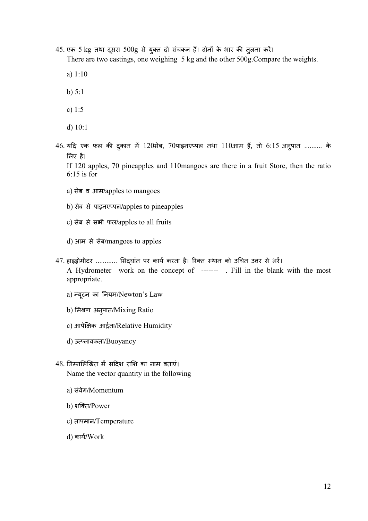45. एक 5 kg तथा दूसरा 500g से युक्त दो संचकन हैं। दोनों के भार की तुलना करें।

There are two castings, one weighing 5 kg and the other 500g.Compare the weights.

- a) 1:10
- b) 5:1
- c) 1:5
- d) 10:1
- $46$ . यदि एक फल की दुकान में  $120$ सेब,  $70$ पाइनएप्पल तथा  $110$ आम हैं, तो  $6.15$  अनुपात .......... के लए है।

If 120 apples, 70 pineapples and 110mangoes are there in a fruit Store, then the ratio 6:15 is for

- a) सेब व आम/apples to mangoes
- b) सेब से पाइनएपल/apples to pineapples
- c) सेब से सभी फल/apples to all fruits
- d) आम से सेब/mangoes to apples
- 47. हाइड्रोमीटर ............ सिदघांत पर कार्य करता है। रिक्त स्थान को उचित उत्तर से भरें। A Hydrometer work on the concept of ------- . Fill in the blank with the most appropriate.
	- a) यू टन का नयम/Newton's Law
	- b) मिश्रण अनुपात/Mixing Ratio
	- c) आपेक्षिक आर्द्रता/Relative Humidity
	- d) उत्प्लावकता/Buoyancy
- $48.$  निम्नलिखित में सदिश राशि का नाम बताएं। Name the vector quantity in the following
	- a) संवेग/Momentum
	- b) शक्ति/Power
	- c) तापमान/Temperature
	- d) काय/Work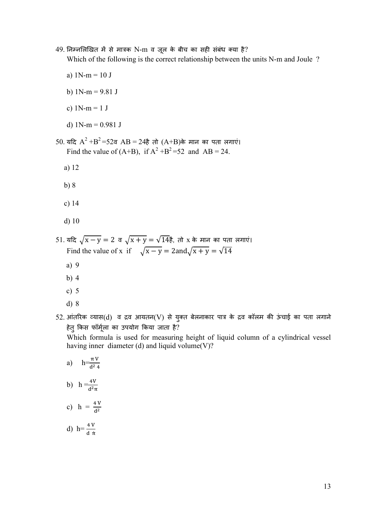49. निम्नलिखित में से मात्रक N-m व जूल के बीच का सही संबंध क्या है?

Which of the following is the correct relationship between the units N-m and Joule ?

- a)  $1N-m = 10 J$
- b)  $1N-m = 9.81$  J
- c)  $1N-m = 1 J$
- d)  $1N-m = 0.981$  J
- 50. यदि  $A^2 + B^2 = 52$ व  $AB = 24$ है तो  $(A+B)$ के मान का पता लगाएं। Find the value of  $(A+B)$ , if  $A^2 + B^2 = 52$  and  $AB = 24$ .
	- a) 12
	- b) 8
	- c) 14
	- d) 10

51. यदि  $\sqrt{x-y} = 2$  व  $\sqrt{x+y} = \sqrt{14}$ है, तो x के मान का पता लगाएं। Find the value of x if  $\sqrt{x-y} = 2$ and $\sqrt{x+y} = \sqrt{14}$ 

- a) 9
- b) 4
- c) 5
- d) 8

 $52$ . आंतरिक व्यास( $\rm d)$  व द्रव आयतन $\rm (V)$  से युक्त बेलनाकार पात्र के द्रव कॉलम की ऊंचाई का पता लगाने  $\rm s$ हेतु कस फॉमूला का उपयोग कया जाता है?

Which formula is used for measuring height of liquid column of a cylindrical vessel having inner diameter (d) and liquid volume(V)?

a) 
$$
h = \frac{\pi V}{d^2 4}
$$
  
\nb)  $h = \frac{4V}{d^2 \pi}$   
\nc)  $h = \frac{4V}{d^2}$   
\nd)  $h = \frac{4V}{d \pi}$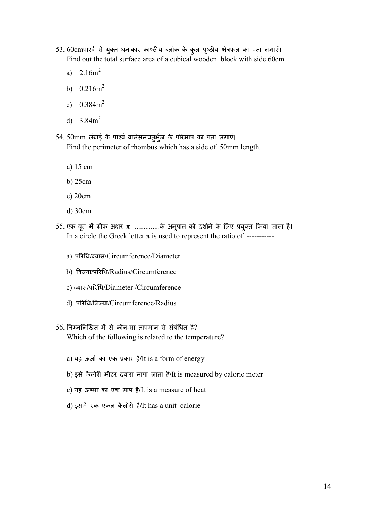- 53. 60cmपार्श्व से युक्त घनाकार काष्ठीय ब्लॉक के कुल पृष्ठीय क्षेत्रफल का पता लगाएं। Find out the total surface area of a cubical wooden block with side 60cm
	- a)  $2.16m^2$
	- b)  $0.216m^2$
	- c)  $0.384m^2$
	- d)  $3.84m^2$
- 54. 50mm लंबाई के पार्श्व वालेसमचतुर्भुज के परिमाप का पता लगाएं। Find the perimeter of rhombus which has a side of 50mm length.
	- a) 15 cm
	- b) 25cm
	- c) 20cm
	- d) 30cm
- 55. एक वृत्त में ग्रीक अक्षर  $\pi$  ..............के अनुपात को दर्शाने के लिए प्रयुक्त किया जाता है। In a circle the Greek letter  $\pi$  is used to represent the ratio of ----------
	- a) परिधि/व्यास/Circumference/Diameter
	- b) त्रिज्या/परिधि/Radius/Circumference
	- c) यास/परध/Diameter /Circumference
	- d) परिधि/त्रिज्या/Circumference/Radius
- $56.$  निम्नलिखित में से कौन-सा तापमान से संबंधित है? Which of the following is related to the temperature?
	- a) यह ऊजा का एक कार है/It is a form of energy
	- b) इसे कैलोरी मीटर दवारा मापा जाता है/It is measured by calorie meter
	- c) यह ऊमा का एक माप है/It is a measure of heat
	- d) इसमें एक एकल कैलोरी है/It has a unit calorie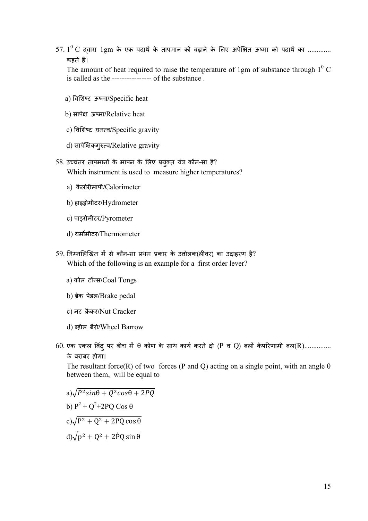$57. 1^0$  C द्वारा 1gm के एक पदार्थ के तापमान को बढ़ाने के लिए अपेक्षित ऊष्मा को पदार्थ का ............. कहते ह।

The amount of heat required to raise the temperature of 1gm of substance through  $1<sup>0</sup>$  C is called as the ---------------- of the substance .

- a) विशिष्ट ऊष्मा/Specific heat
- b) सापेक्ष ऊष्मा/Relative heat
- c) विशिष्ट घनत्व/Specific gravity
- d) सापेक्षिकगुरुत्व/Relative gravity
- 58. उच्चतर तापमानों के मापन के लिए प्रयुक्त यंत्र कौन-सा है? Which instrument is used to measure higher temperatures?
	- a) कैलोरमापी/Calorimeter
	- b) हाइोमीटर/Hydrometer
	- c) पाइरोमीटर/Pyrometer
	- d) थममीटर/Thermometer
- 59. निम्नलिखित में से कौन-सा प्रथम प्रकार के उत्तोलक(लीवर) का उदाहरण है? Which of the following is an example for a first order lever?
	- a) कोल टोंग्स/Coal Tongs
	- b) ब्रेक पेडल/Brake pedal
	- c) नट क्रैकर/Nut Cracker
	- d) ब्हील बैरो/Wheel Barrow
- $60.$  एक एकल बिंद् पर बीच में  $\theta$  कोण के साथ कार्य करते दो (P व Q) बलों केपरिणामी बल $(R)$ ............... के बराबर होगा।

The resultant force(R) of two forces (P and Q) acting on a single point, with an angle  $\theta$ between them, will be equal to

a) $\sqrt{P^2\sin\theta + Q^2\cos\theta + 2PQ}$ b)  $P^2 + Q^2 + 2PQ \cos \theta$ c) $\sqrt{P^2 + Q^2 + 2PQ\cos\theta}$ d) $\sqrt{p^2 + Q^2 + 2\dot{P}Q\sin\theta}$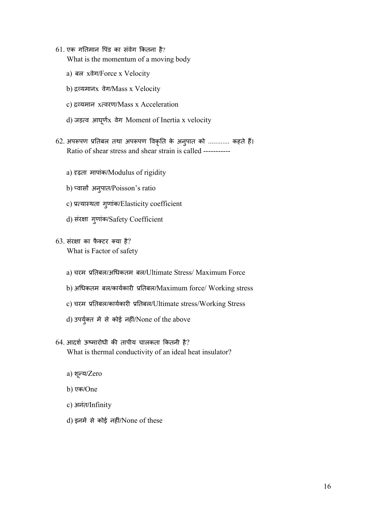- $61.$  एक गतिमान पिंड का संवेग कितना है? What is the momentum of a moving body
	- a) बल xवेग/Force x Velocity
	- b) यमानx वेग/Mass x Velocity
	- c) द्रव्यमान xत्वरण/Mass x Acceleration
	- d) जड़व आघू णx वेग Moment of Inertia x velocity
- 62. अपरूपण प्रतिबल तथा अपरूपण विकृति के अनुपात को ............ कहते हैं। Ratio of shear stress and shear strain is called ----------
	- a) ढ़ता मापांक/Modulus of rigidity
	- b) प्वासौं अनुपात/Poisson's ratio
	- c) प्रत्यास्थता गुणांक/Elasticity coefficient
	- d) संरक्षा गुणांक/Safety Coefficient
- $63.$  संरक्षा का फैक्टर क्या है? What is Factor of safety
	- a) चरम तबल/अधकतम बल/Ultimate Stress/ Maximum Force
	- b) अधिकतम बल/कार्यकारी प्रतिबल/Maximum force/ Working stress
	- c) चरम प्रतिबल/कार्यकारी प्रतिबल/Ultimate stress/Working Stress
	- d) उपर्युक्त में से कोई नहीं/None of the above
- $64.$  आदर्श ऊष्मारोधी की तापीय चालकता कितनी है? What is thermal conductivity of an ideal heat insulator?
	- a) शू य/Zero
	- b) एक/One
	- c) अनंत/Infinity
	- d) इनमें से कोई नहीं/None of these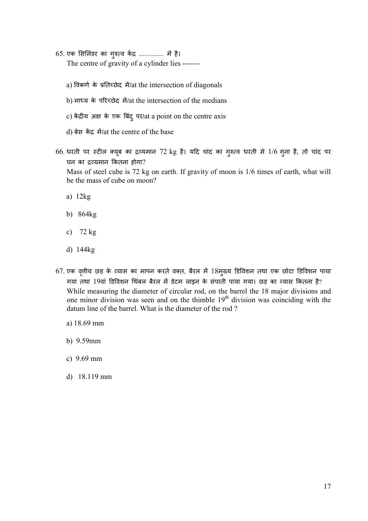- 65. एक सिलिंडर का गुरुत्व केंद्र .............. में है। The centre of gravity of a cylinder lies ------
	- a) विकर्ण के प्रतिच्छेद में/at the intersection of diagonals
	- b) माध्य के परिच्छेद में/at the intersection of the medians
	- c) केंद्रीय अक्ष के एक बिंदु पर/at a point on the centre axis
	- d) बेस केंद्र में/at the centre of the base
- 66. धरती पर स्टील क्यूब का द्रव्यमान 72 kg है। यदि चांद का गुरुत्व धरती से 1/6 गुना है, तो चांद पर घन का यमान कतना होगा?

Mass of steel cube is 72 kg on earth. If gravity of moon is 1/6 times of earth, what will be the mass of cube on moon?

- a) 12kg
- b) 864kg
- c) 72 kg
- d) 144kg
- $67$ . एक वृत्तीय छड़ के व्यास का मापन करते वक्त, बैरल में  $18$ मुख्य डिविशन तथा एक छोटा डिविशन पाया गया तथा 19वां डिविशन थिंबल बैरल में डेटम लाइन के संपाती पाया गया। छड़ का व्यास कितना है? While measuring the diameter of circular rod, on the barrel the 18 major divisions and one minor division was seen and on the thimble  $19<sup>th</sup>$  division was coinciding with the datum line of the barrel. What is the diameter of the rod ?
	- a) 18.69 mm
	- b) 9.59mm
	- c) 9.69 mm
	- d) 18.119 mm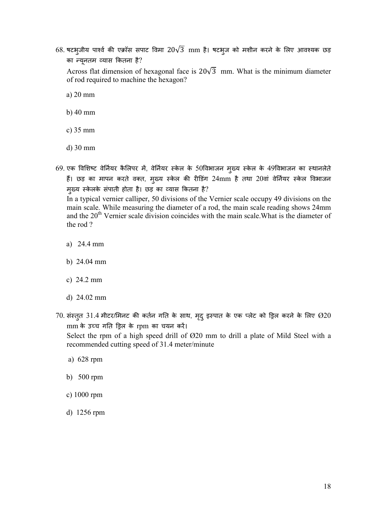$68$ . षटभुजीय पार्श्व की एक्रॉस सपाट विमा  $20\sqrt{3}$  mm है। षटभुज को मशीन करने के लिए आवश्यक छड़ का यू नतम यास कतना है?

Across flat dimension of hexagonal face is  $20\sqrt{3}$  mm. What is the minimum diameter of rod required to machine the hexagon?

a) 20 mm

- b) 40 mm
- c) 35 mm
- d) 30 mm
- 69. एक विशिष्ट वेर्नियर कैलिपर में, वेर्नियर स्केल के 50विभाजन मुख्य स्केल के 49विभाजन का स्थानलेते हैं। छड़ का मापन करते वक्त, मुख्य स्केल की रीडिंग 24mm है तथा 20वां वेर्नियर स्केल विभाजन मु य के लके संपाती होता है। छड़ का यास कतना है?

In a typical vernier calliper, 50 divisions of the Vernier scale occupy 49 divisions on the main scale. While measuring the diameter of a rod, the main scale reading shows 24mm and the 20<sup>th</sup> Vernier scale division coincides with the main scale. What is the diameter of the rod ?

- a) 24.4 mm
- b) 24.04 mm
- c) 24.2 mm
- d) 24.02 mm
- $70$ . संस्तुत  $31.4$  मीटर/मिनट की कर्तन गति के साथ, मृदु इस्पात के एक प्लेट को ड्रिल करने के लिए  $\varnothing20$ mm के उच्च गति ड्रिल के rpm का चयन करें।

Select the rpm of a high speed drill of Ø20 mm to drill a plate of Mild Steel with a recommended cutting speed of 31.4 meter/minute

- a) 628 rpm
- b) 500 rpm
- c) 1000 rpm
- d) 1256 rpm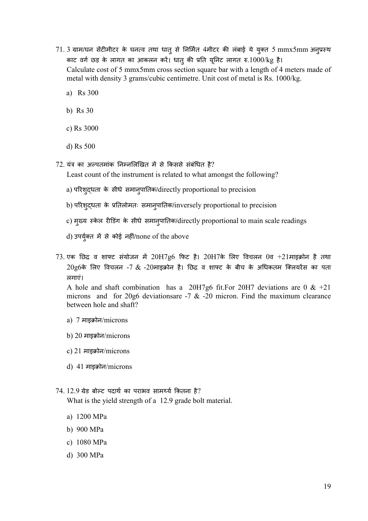- 71. 3 ग्राम/घन सेंटीमीटर के घनत्व तथा धातु से निर्मित 4मीटर की लंबाई ये युक्त 5 mmx5mm अनुप्रस्थ काट वर्ग छड़ के लागत का आकलन करें। धातु की प्रति यूनिट लागत रु. $1000/\text{kg}$  है। Calculate cost of 5 mmx5mm cross section square bar with a length of 4 meters made of metal with density 3 grams/cubic centimetre. Unit cost of metal is Rs. 1000/kg.
	- a) Rs 300
	- b) Rs 30
	- c) Rs 3000
	- d) Rs 500
- $72$ . यंत्र का अल्पतमांक निम्नलिखित में से किससे संबंधित है?
	- Least count of the instrument is related to what amongst the following?
	- a) परशु धता के सीधे समानु पातक/directly proportional to precision
	- b) परिशुद्धता के प्रतिलोमतः समानुपातिक/inversely proportional to precision
	- c) मुख्य स्केल रीडिंग के सीधे समानुपातिक/directly proportional to main scale readings
	- d) उपर्युक्त में से कोई नहीं/none of the above
- $73.$  एक छिद्र व शाफ्ट संयोजन में  $20H7g6$  फिट है।  $20H7$ के लिए विचलन  $0$ व +21माइक्रोन है तथा  $20$ g $6$ के लिए विचलन -7  $&$  -20माइक्रोन है। छिद्र व शाफ्ट के बीच के अधिकतम क्लियरेंस का पता लगाएं।

A hole and shaft combination has a 20H7g6 fit. For 20H7 deviations are 0  $\&$  +21 microns and for 20g6 deviations are  $-7 \& 20$  micron. Find the maximum clearance between hole and shaft?

- a) 7 माइक्रोन/microns
- b) 20 माइक्रोन/microns
- c) 21 माइक्रोन/microns
- d) 41 माइक्रोन/microns
- $74.12.9$  ग्रेड बोल्ट पदार्थ का पराभव सामर्थ्य कितना है? What is the yield strength of a 12.9 grade bolt material.
	- a) 1200 MPa
	- b) 900 MPa
	- c) 1080 MPa
	- d) 300 MPa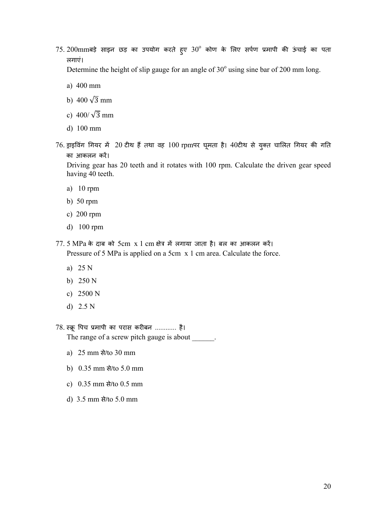$75$ .  $200\mathrm{mm}$ बड़े साइन छड़ का उपयोग करते हुए  $30^\mathrm{o}$  कोण के लिए सर्पण प्रमापी की ऊंचाई का पता लगाएं।

Determine the height of slip gauge for an angle of  $30^{\circ}$  using sine bar of 200 mm long.

- a) 400 mm
- b)  $400\sqrt{3}$  mm
- c)  $400/\sqrt{3}$  mm
- d) 100 mm
- $76$  ड्राइविंग गियर में  $\,$  20 टीथ हैं तथा वह  $\,100$  rpmपर घूमता है।  $40$ टीथ से युक्त चालित गियर की गति का आकलन कर।

Driving gear has 20 teeth and it rotates with 100 rpm. Calculate the driven gear speed having 40 teeth.

- a) 10 rpm
- b) 50 rpm
- c) 200 rpm
- d) 100 rpm
- $77.5 \text{ MPa}$  के दाब को  $5 \text{cm} \times 1 \text{ cm}$  क्षेत्र में लगाया जाता है। बल का आकलन करें। Pressure of 5 MPa is applied on a 5cm x 1 cm area. Calculate the force.
	- a) 25 N
	- b) 250 N
	- c) 2500 N
	- d) 2.5 N

78. स्क्रू पिच प्रमापी का परास करीबन ............ है। The range of a screw pitch gauge is about  $\qquad \qquad$ .

- a) 25 mm से/to 30 mm
- b) 0.35 mm से/to 5.0 mm
- c) 0.35 mm से/to 0.5 mm
- d) 3.5 mm से/to 5.0 mm